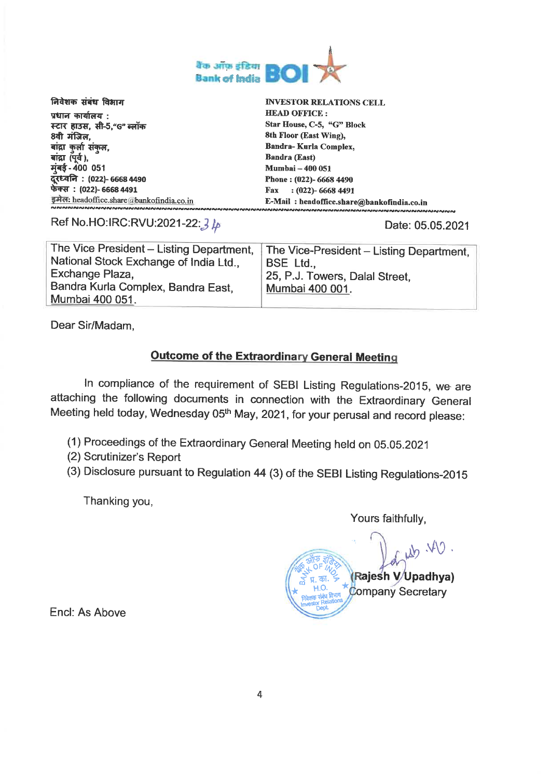

| निवेशक संबंध विभाग                          | <b>INVESTOR RELATIONS CELL</b>             |  |
|---------------------------------------------|--------------------------------------------|--|
| प्रधान कार्यालय :                           | <b>HEAD OFFICE:</b>                        |  |
| स्टार हाउस, सी-5,"G" ब्लॉक                  | Star House, C-5, "G" Block                 |  |
| 8वी मंजिल,                                  | 8th Floor (East Wing),                     |  |
| बांद्रा कुर्ला संकुल,                       | <b>Bandra-Kurla Complex,</b>               |  |
| बांद्रा (पूर्व ),                           | <b>Bandra (East)</b>                       |  |
| मुंबई - 400 051                             | <b>Mumbai - 400 051</b>                    |  |
| दूरध्वनि : (022)- 6668 4490                 | Phone: (022)- 6668 4490                    |  |
| फेक्स: (022)- 6668 4491                     | $(022)$ -66684491<br>Fax                   |  |
| इमेल: headoffice.share@bankofindia.co.in    | E-Mail: headoffice.share@bankofindia.co.in |  |
| <sub>」</sub><br>ผมพลมามมามมามมามมามมามมามมา |                                            |  |

Ref No.HO:IRC:RVU:2021-22: 3 4

Date: 05.05.2021

| The Vice President - Listing Department,<br>National Stock Exchange of India Ltd.,<br>Exchange Plaza, | The Vice-President – Listing Department,<br>BSE Ltd<br>25, P.J. Towers, Dalal Street. |
|-------------------------------------------------------------------------------------------------------|---------------------------------------------------------------------------------------|
| Bandra Kurla Complex, Bandra East,                                                                    | Mumbai 400 001.                                                                       |
| Mumbai 400 051.                                                                                       |                                                                                       |

Dear Sir/Madam.

### **Outcome of the Extraordinary General Meeting**

In compliance of the requirement of SEBI Listing Regulations-2015, we are attaching the following documents in connection with the Extraordinary General Meeting held today, Wednesday 05th May, 2021, for your perusal and record please:

- (1) Proceedings of the Extraordinary General Meeting held on 05.05.2021
- (2) Scrutinizer's Report
- (3) Disclosure pursuant to Regulation 44 (3) of the SEBI Listing Regulations-2015

Thanking you,

Yours faithfully,

 $W \rightarrow V$ Rajesh V/Upadhya) **Company Secretary** 

Encl: As Above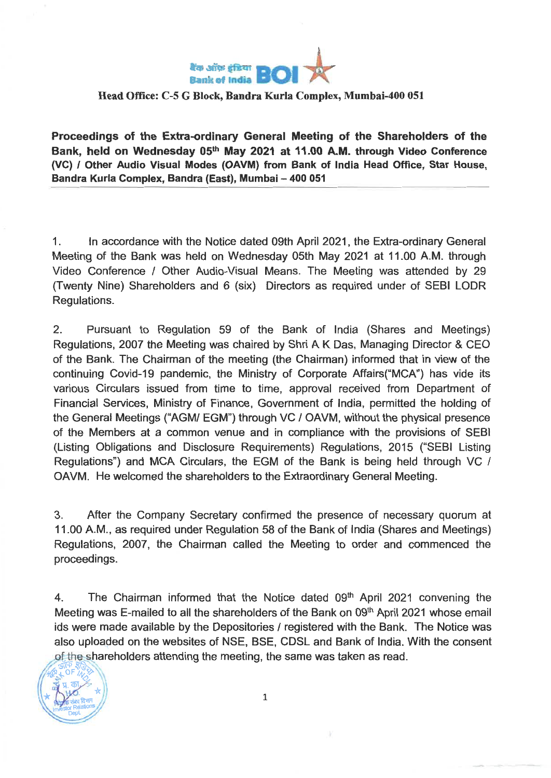

### **Head Office: C-5 G Block, Bandra Kurla Complex, Mumbai-400 051**

**Proceedings of the Extra-ordinary General Meeting of the Shareholders of the Bank, held on Wednesday 05th May 2021 at 11.00 A.M. through Video Conference (VC) / Other Audio Visual Modes (OAVM) from Bank of India Head Office, Star House, Bandra Kurla Complex, Bandra (East), Mumbai — 400 051** 

1. In accordance with the Notice dated 09th April 2021, the Extra-ordinary General Meeting of the Bank was held on Wednesday 05th May 2021 at 11.00 A.M. through Video Conference / Other Audio-Visual Means. The Meeting was attended by 29 (Twenty Nine) Shareholders and 6 (six) Directors as required under of SEBI LODR Regulations.

2. Pursuant to Regulation 59 of the Bank of India (Shares and Meetings) Regulations, 2007 the Meeting was chaired by Shri A K Das, Managing Director & CEO of the Bank. The Chairman of the meeting (the Chairman) informed that in view of the continuing Covid-19 pandemic, the Ministry of Corporate Affairs("MCA") has vide its various Circulars issued from time to time, approval received from Department of Financial Services, Ministry of Finance, Government of India, permitted the holding of the General Meetings ("AGM/ EGM") through VC / OAVM, without the physical presence of the Members at a common venue and in compliance with the provisions of SEBI (Listing Obligations and Disclosure Requirements) Regulations, 2015 ("SEBI Listing Regulations") and MCA Circulars, the EGM of the Bank is being held through VC / OAVM. He welcomed the shareholders to the Extraordinary General Meeting.

3. After the Company Secretary confirmed the presence of necessary quorum at 11.00 A.M., as required under Regulation 58 of the Bank of India (Shares and Meetings) Regulations, 2007, the Chairman called the Meeting to order and commenced the proceedings.

4. The Chairman informed that the Notice dated 09<sup>th</sup> April 2021 convening the Meeting was E-mailed to all the shareholders of the Bank on 09<sup>th</sup> April 2021 whose email ids were made available by the Depositories / registered with the Bank. The Notice was also uploaded on the websites of NSE, BSE, CDSL and Bank of India. With the consent of the shareholders attending the meeting, the same was taken as read.

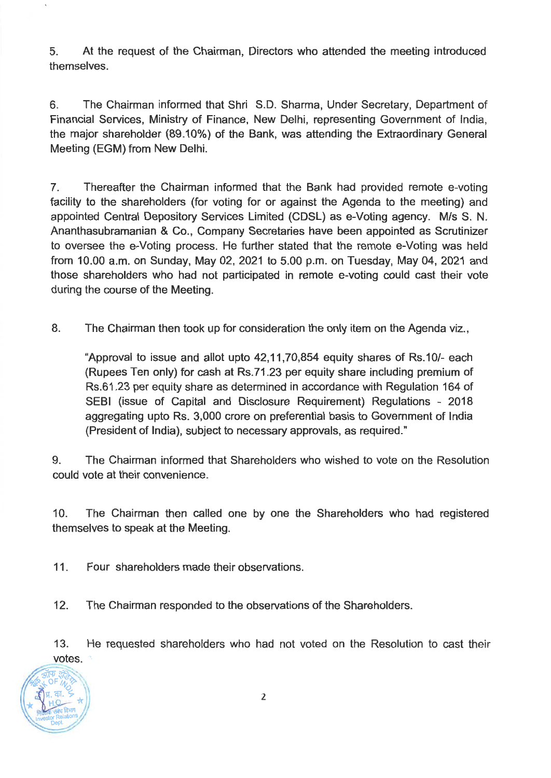**5. At the request of the Chairman, Directors who attended the meeting introduced themselves.** 

**6. The Chairman informed that Shri S.D. Sharma, Under Secretary, Department of Financial Services, Ministry of Finance, New Delhi, representing Government of India, the major shareholder (89.10%) of the Bank, was attending the Extraordinary General Meeting (EGM) from New Delhi.** 

**7. Thereafter the Chairman informed that the Bank had provided remote e-voting facility to the shareholders (for voting for or against the Agenda to the meeting) and appointed Central Depository Services Limited (CDSL) as e-Voting agency. M/s S. N. Ananthasubramanian & Co., Company Secretaries have been appointed as Scrutinizer to oversee the e-Voting process. He further stated that the remote e-Voting was held from 10.00 a.m. on Sunday, May 02, 2021 to 5.00 p.m. on Tuesday, May 04, 2021 and those shareholders who had not participated in remote e-voting could cast their vote during the course of the Meeting.** 

**8. The Chairman then took up for consideration the only item on the Agenda viz.,** 

**"Approval to issue and allot upto 42,11,70,854 equity shares of Rs.10/- each (Rupees Ten only) for cash at Rs.71.23 per equity share including premium of Rs.61.23 per equity share as determined in accordance with Regulation 164 of SEBI (issue of Capital and Disclosure Requirement) Regulations - 2018 aggregating upto Rs. 3,000 crore on preferential basis to Government of India (President of India), subject to necessary approvals, as required."** 

**9. The Chairman informed that Shareholders who wished to vote on the Resolution could vote at their convenience.** 

**10. The Chairman then called one by one the Shareholders who had registered themselves to speak at the Meeting.** 

**11. Four shareholders made their observations.** 

**12. The Chairman responded to the observations of the Shareholders.** 

**13. He requested shareholders who had not voted on the Resolution to cast their votes.** 

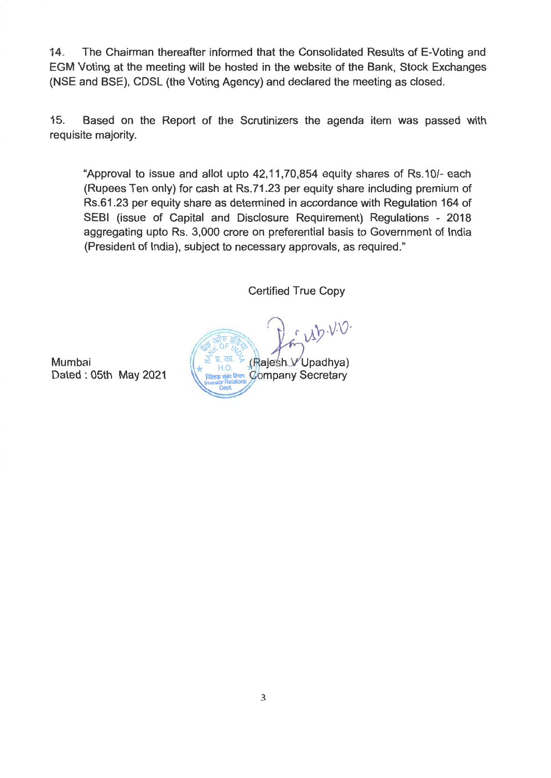14, The Chairman thereafter informed that the Consolidated Results of E-Voting and EGM Voting at the meeting will be hosted in the website of the Bank, Stock Exchanges (NSE and BSE), CDSL (the Voting Agency) and declared the meeting as closed.

15. Based on the Report of the Scrutinizers the agenda item was passed with requisite majority.

"Approval to issue and allot upto 42,11,70,854 equity shares of Rs.10/- each (Rupees Ten only) for cash at Rs.71.23 per equity share including premium of Rs.61.23 per equity share as determined in accordance with Regulation 164 of SEBI (issue of Capital and Disclosure Requirement) Regulations - 2018 aggregating upto Rs. 3,000 crore on preferential basis to Government of India (President of India), subject to necessary approvals, as required."

Certified True Copy

 $\overline{3177}$   $\overline{377}$ Mumbai  $\begin{pmatrix} \frac{1}{8} & \frac{1}{8} & \frac{1}{8} & \frac{1}{8} \\ \frac{1}{8} & \frac{1}{8} & \frac{1}{8} & \frac{1}{8} \\ \frac{1}{8} & \frac{1}{8} & \frac{1}{8} & \frac{1}{8} \end{pmatrix}$  Upadhya) Dated : 05th May 2021 W **RARGE WARE COMPAIN Secretary** निवेशक संबंध विभाग<br>Investor Relations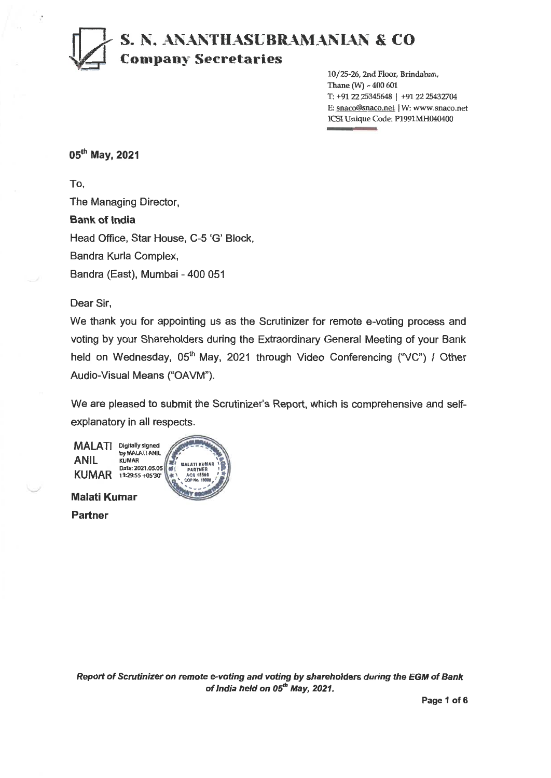# **<sup>1</sup>S. N. ANANTHASUBRAMANIAN & CO =.1 Company Secretaries**

10/25-26, 2nd Floor, Brindaban, Thane  $(W) - 400601$ T: +9122 25345648 I +91 22 25432704 E: snaco@snaco.net | W: www.snaco.net ICSI Unique Code: P1991MH040400

### 05<sup>th</sup> May, 2021

**To,**  The Managing Director, **Bank of India**  Head Office, Star House, C-5 'G' Block, Bandra Kuria Complex, Bandra (East), Mumbai - 400 051

Dear Sir,

We thank you for appointing us as the Scrutinizer for remote e-voting process and voting by your Shareholders during the Extraordinary General Meeting of your Bank held on Wednesday, 05<sup>th</sup> May, 2021 through Video Conferencing ("VC") / Other Audio-Visual Means ("OAVM").

We are pleased to submit the Scrutinizer's Report, which is comprehensive and selfexplanatory in all respects.

> **MALATI KUMAR IS**  l **PARTNER I**  *a* **ACB 15508 10. Sop No. 10989,**

**MALATI**  Digitally signed **ANIL KUMAR**  13:29:55 +05'30' by MALATI ANIL KUMAR Date: 2021.05.05

**Malati Kumar Partner** 

**Report of Scrutinizer on remote e-voting and voting by shareholders during the EGM of Bank**  of *India held on 05<sup>th</sup> May, 2021.* 

**Page 1 of 6**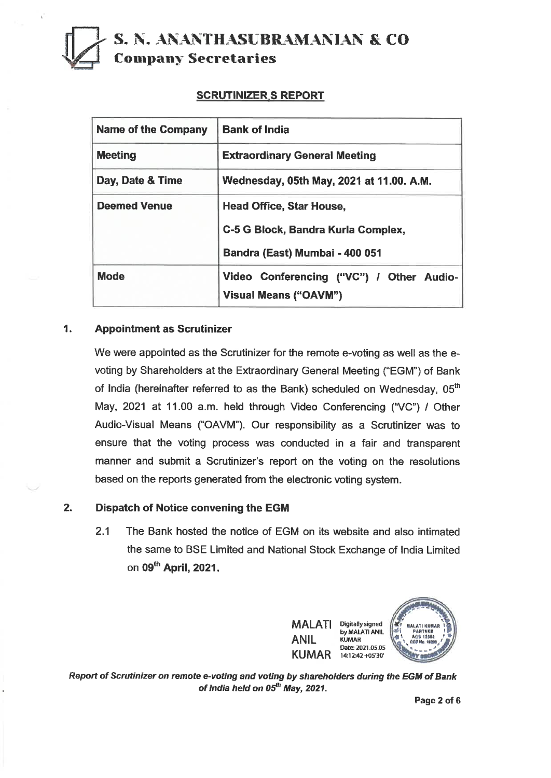# **S. N. ANANTHASUBRAMANIAN & CO Company Secretaries**

### **SCRUTINIZER.S REPORT**

| <b>Name of the Company</b> | <b>Bank of India</b>                                                     |
|----------------------------|--------------------------------------------------------------------------|
| <b>Meeting</b>             | <b>Extraordinary General Meeting</b>                                     |
| Day, Date & Time           | Wednesday, 05th May, 2021 at 11.00. A.M.                                 |
| <b>Deemed Venue</b>        | <b>Head Office, Star House,</b>                                          |
|                            | C-5 G Block, Bandra Kurla Complex,                                       |
|                            | Bandra (East) Mumbai - 400 051                                           |
| <b>Mode</b>                | Video Conferencing ("VC") / Other Audio-<br><b>Visual Means ("OAVM")</b> |

#### **1. Appointment as Scrutinizer**

We were appointed as the Scrutinizer for the remote e-voting as well as the evoting by Shareholders at the Extraordinary General Meeting ("EGM") of Bank of India (hereinafter referred to as the Bank) scheduled on Wednesday, 05<sup>th</sup> May, 2021 at 11.00 a.m. held through Video Conferencing ("VC") / Other Audio-Visual Means ("OAVM"). Our responsibility as a Scrutinizer was to ensure that the voting process was conducted in a fair and transparent manner and submit a Scrutinizer's report on the voting on the resolutions based on the reports generated from the electronic voting system.

#### **2. Dispatch of Notice convening the EGM**

2.1 The Bank hosted the notice of EGM on its website and also intimated the same to BSE Limited and National Stock Exchange of India Limited on 09<sup>th</sup> April, 2021.



**Report of Scrutinizer on remote e-voting and voting by shareholders during the EGM of Bank of India held on 05<sup>th</sup> May, 2021.** 

**Page 2 of 6**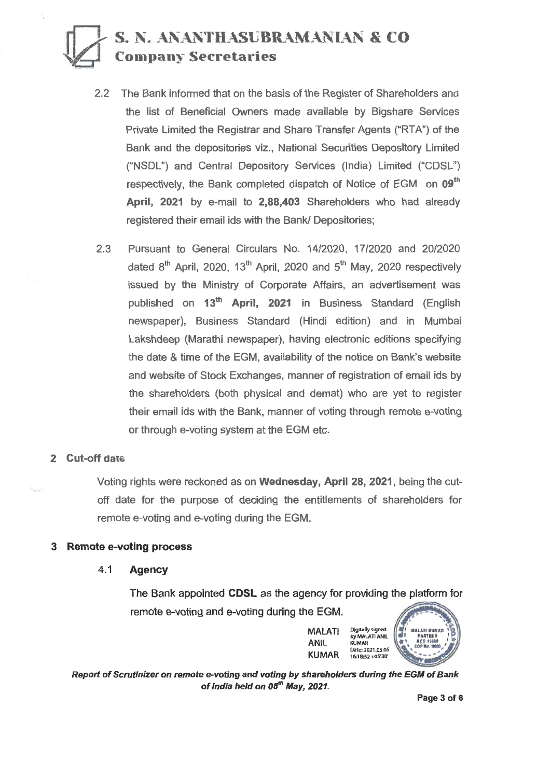# **S. N. ANANTHASUBRAMANIAN & CO Company Secretaries**

- **2.2 The Bank informed that on the basis of the Register of Shareholders and the list of Beneficial** Owners made available **by Bigshare Services Private Limited the** Registrar and Share Transfer Agents ("RTA") of **the Bank and the depositories viz., National Securities Depository Limited ("NSDL") and** Central Depository Services (India) Limited **("CDSL")**  respectively, the Bank completed dispatch of Notice of EGM on 09<sup>th</sup> **April, 2021 by e-mail to 2,88,403** Shareholders who had **already registered their email ids with the Bank/ Depositories;**
- **2.3 Pursuant to General Circulars No. 14/2020, 17/2020 and 20/2020**  dated 8<sup>th</sup> April, 2020, 13<sup>th</sup> April, 2020 and 5<sup>th</sup> May, 2020 respectively issued by the Ministry of Corporate Affairs, an advertisement was published on 13<sup>th</sup> April, 2021 in Business Standard (English **newspaper), Business Standard (Hindi edition) and in Mumbai Lakshdeep (Marathi newspaper), having electronic editions specifying the date & time of the EGM, availability of the notice on Bank's website and website of** Stock Exchanges, manner of registration of email **ids by the shareholders (both physical and demat) who are yet to register their email ids with the Bank, manner of voting through remote e-voting or through e-voting system at the EGM etc.**

#### **2 Cut-off date**

**Voting rights were reckoned as on Wednesday, April 28, 2021, being the cutoff date for the purpose of deciding the entitlements of shareholders for remote e-voting and e-voting during the EGM.** 

#### **3 Remote e-voting process**

4.1 **Agency** 

**The Bank appointed CDSL as the agency for providing the platform for remote e-voting and e-voting during the EGM.** 

> **MALATI ANIL KUMAR Digitally signed by MALATI ANIL KUMAR Date: 2021.05.05 16:1852+05'30'**



**Report of Scrutinizer on remote e-voting and voting by shareholders during the EGM of Bank**  of India held on 05<sup>th</sup> May, 2021.

**Page 3 of 6**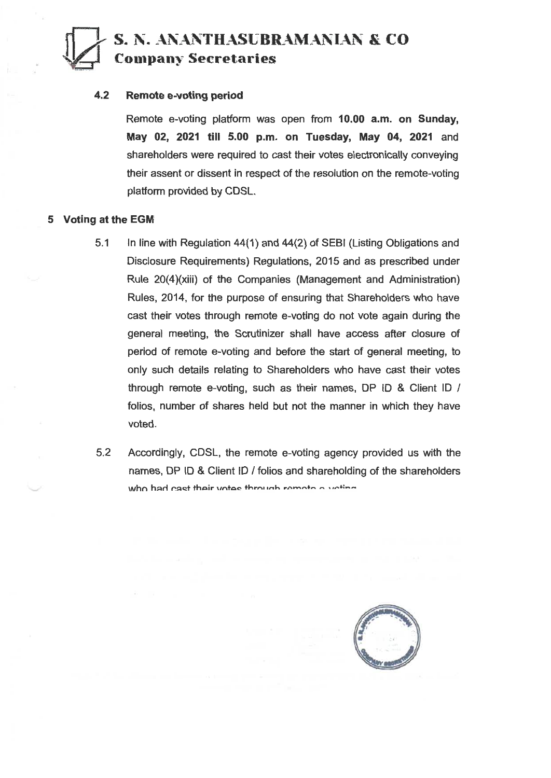

## **S. N. ANANTHASUBRAMANIAN Sik CO**

**Company Secretaries**